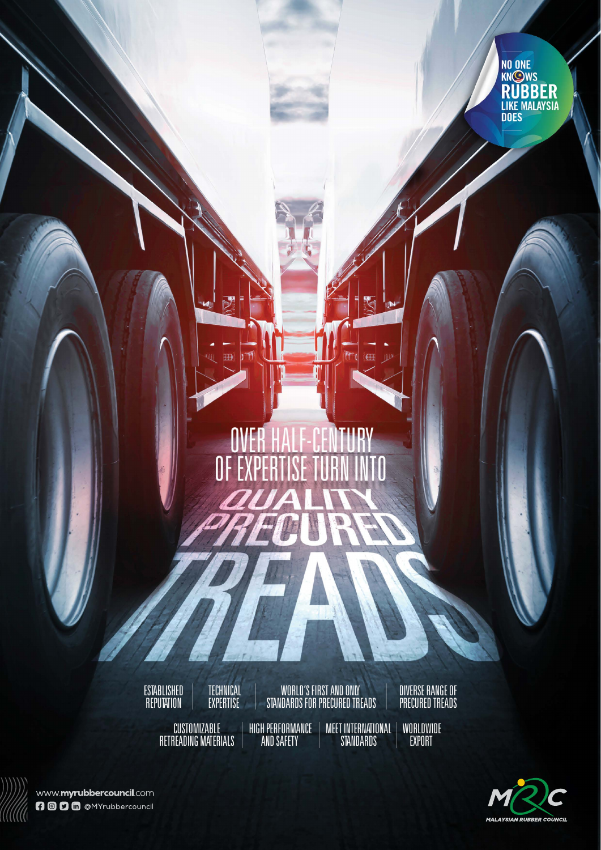

### OVER **TIIDV** E. PE OF E Ĭ,

**ESTABLISHED REPUTATION** 

CUSTOMIZABLE RETREADING MATERIALS

**TECHNICAL EXPERTISE** 

V **M** 

R.

WORLD'S FIRST AND ONLY STANDARDS FOR PRECURED TREADS HIGH PERFORMANCE MEET INTERNATIONAL

AND SAFETY

DIVERSE RANGE OF PRECURED TREADS

**STANDARDS WORLDWIDE EXPORT** 



www.myrubbercouncil.com **000** M @MYrubbercouncil